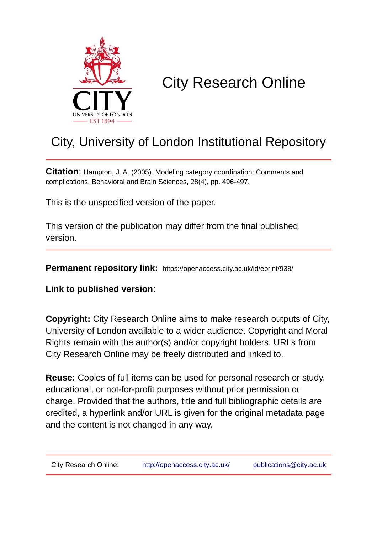

# City Research Online

# City, University of London Institutional Repository

**Citation**: Hampton, J. A. (2005). Modeling category coordination: Comments and complications. Behavioral and Brain Sciences, 28(4), pp. 496-497.

This is the unspecified version of the paper.

This version of the publication may differ from the final published version.

**Permanent repository link:** https://openaccess.city.ac.uk/id/eprint/938/

**Link to published version**:

**Copyright:** City Research Online aims to make research outputs of City, University of London available to a wider audience. Copyright and Moral Rights remain with the author(s) and/or copyright holders. URLs from City Research Online may be freely distributed and linked to.

**Reuse:** Copies of full items can be used for personal research or study, educational, or not-for-profit purposes without prior permission or charge. Provided that the authors, title and full bibliographic details are credited, a hyperlink and/or URL is given for the original metadata page and the content is not changed in any way.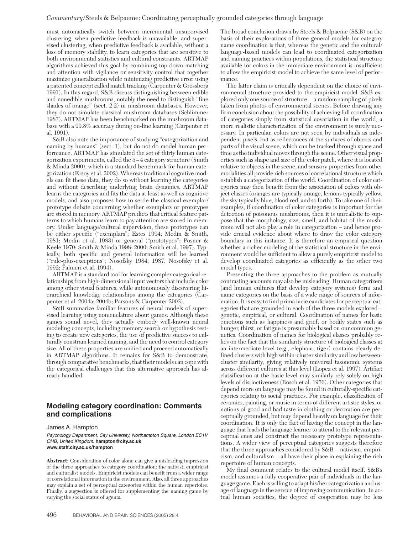must automatically switch between incremental unsupervised clustering, when predictive feedback is unavailable, and supervised clustering, when predictive feedback is available, without a loss of memory stability, to learn categories that are sensitive to both environmental statistics and cultural constraints. ARTMAP algorithms achieved this goal by combining top-down matching and attention with vigilance or sensitivity control that together maximize generalization while minimizing predictive error using a patented concept called match tracking (Carpenter & Grossberg 1991). In this regard, S&B discuss distinguishing between edible and nonedible mushrooms, notably the need to distinguish "fine shades of orange" (sect. 2.2) in mushroom databases. However, they do not simulate classical mushroom databases (Schlimmer 1987). ARTMAP has been benchmarked on the mushroom database with a 99.8% accuracy during on-line learning (Carpenter et al. 1991).

S&B also note the importance of studying "categorization and naming by humans" (sect. 1), but do not do model human performance. ARTMAP has simulated the set of thirty human categorization experiments, called the 5–4 category structure (Smith & Minda 2000), which is a standard benchmark for human categorization (Ersoy et al. 2002). Whereas traditional cognitive models can fit these data, they do so without learning the categories and without describing underlying brain dynamics. ARTMAP learns the categories and fits the data at least as well as cognitive models, and also proposes how to settle the classical exemplar/ prototype debate concerning whether exemplars or prototypes are stored in memory. ARTMAP predicts that critical feature patterns to which humans learn to pay attention are stored in memory. Under language/cultural supervision, these prototypes can be either specific ("exemplars"; Estes 1994; Medin & Smith, 1981; Medin et al. 1983) or general ("prototypes"; Posner & Keele 1970; Smith & Minda 1998; 2000; Smith et al. 1997). Typically, both specific and general information will be learned ("rule-plus-exceptions"; Nosofsky 1984; 1987; Nosofsky et al. 1992; Palmeri et al. 1994).

ARTMAP is a standard tool for learning complex categorical relationships from high-dimensional input vectors that include color among other visual features, while autonomously discovering hierarchical knowledge relationships among the categories (Carpenter et al. 2004a; 2004b; Parsons & Carpenter 2003).

S&B summarize familiar features of neural models of supervised learning using nomenclature about games. Although these games sound novel, they actually embody well-known neural modeling concepts, including memory search or hypothesis testing to create new categories, the use of predictive success to culturally constrain learned naming, and the need to control category size. All of these properties are unified and proceed automatically in ARTMAP algorithms. It remains for S&B to demonstrate, through comparative benchmarks, that their models can cope with the categorical challenges that this alternative approach has already handled.

## **Modeling category coordination: Comments and complications**

#### James A. Hampton

*Psychology Department, City University, Northampton Square, London EC1V OHB, United Kingdom.* **hampton@city.ac.uk www.staff.city.ac.uk/hampton**

**Abstract:** Consideration of color alone can give a misleading impression of the three approaches to category coordination: the nativist, empiricist and culturalist models. Empiricist models can benefit from a wider range of correlational information in the environment. Also, all three approaches may explain a set of perceptual categories within the human repertoire. Finally, a suggestion is offered for supplementing the naming game by varying the social status of agents.

The broad conclusion drawn by Steels & Belpaeme (S&B) on the basis of their explorations of three general models for category name coordination is that, whereas the genetic and the cultural/ language-based models can lead to coordinated categorization and naming practices within populations, the statistical structure available for colors in the immediate environment is insufficient to allow the empiricist model to achieve the same level of performance.

The latter claim is critically dependent on the choice of environmental structure provided to the empiricist model. S&B explored only one source of structure – a random sampling of pixels taken from photos of environmental scenes. Before drawing any firm conclusion about the possibility of achieving full coordination of categories simply from statistical covariation in the world, a more realistic characterization of the environment is surely necessary. In particular, colors are not seen by individuals as independent pixels, but as reflectances of the surfaces of objects and parts of the visual scene, which can be tracked through space and time as the individual moves through the scene. Other visual properties such as shape and size of the color patch, where it is located relative to objects in the scene, and sensory properties from other modalities all provide rich sources of correlational structure which establish a categorization of the world. Coordination of color categories may then benefit from the association of colors with object classes (oranges are typically orange, lemons typically yellow, the sky typically blue, blood red, and so forth). To take one of their examples, if coordination of color categories is important for the detection of poisonous mushrooms, then it is unrealistic to suppose that the morphology, size, smell, and habitat of the mushroom will not also play a role in categorization – and hence provide crucial evidence about where to draw the color category boundary in this instance. It is therefore an empirical question whether a richer modeling of the statistical structure in the environment would be sufficient to allow a purely empiricist model to develop coordinated categories as efficiently as the other two model types.

Presenting the three approaches to the problem as mutually contrasting accounts may also be misleading. Human categorizers (and human cultures that develop category systems) form and name categories on the basis of a wide range of sources of information. It is easy to find prima facie candidates for perceptual categories that are grounded in each of the three models explored – genetic, empirical, or cultural. Coordination of names for basic emotions such as happiness and grief, or bodily states such as hunger, thirst, or fatigue is presumably based on our common genetics. Coordination of names for biological classes probably relies on the fact that the similarity structure of biological classes at an intermediate level (e.g., elephant, tiger) contains clearly defined clusters with high within-cluster similarity and low betweencluster similarity, giving relatively universal taxonomic systems across different cultures at this level (Lopez et al. 1997). Artifact classification at the basic level may similarly rely solely on high levels of distinctiveness (Rosch et al. 1976). Other categories that depend more on language may be found in culturally-specific categories relating to social practices. For example, classification of ceramics, painting, or music in terms of different artistic styles, or notions of good and bad taste in clothing or decoration are perceptually grounded, but may depend heavily on language for their coordination. It is only the fact of having the concept in the language that leads the language learner to attend to the relevant perceptual cues and construct the necessary prototype representations. A wider view of perceptual categories suggests therefore that the three approaches considered by S&B – nativism, empiricism, and culturalism – all have their place in explaining the rich repertoire of human concepts.

My final comment relates to the cultural model itself. S&B's model assumes a fully cooperative pair of individuals in the language game. Each is willing to adapt his/her categorization and usage of language in the service of improving communication. In actual human societies, the degree of cooperation may be less